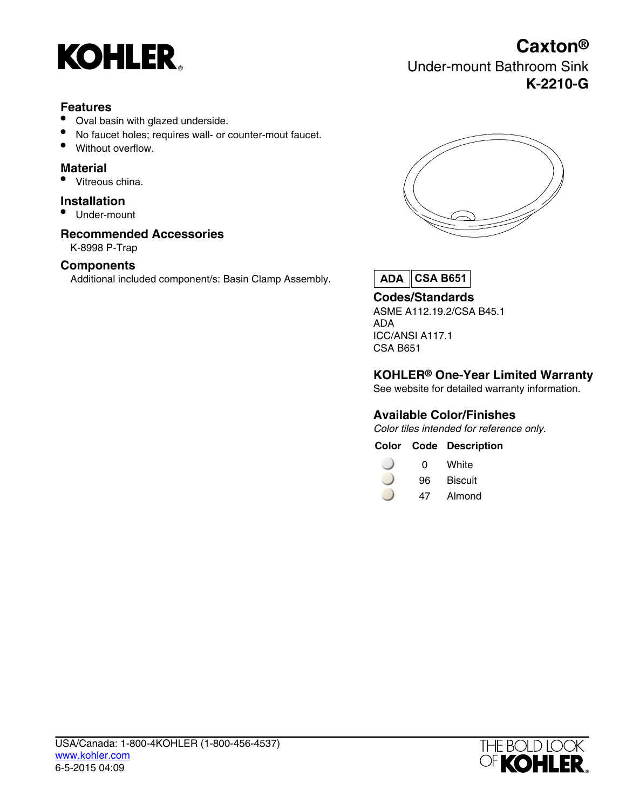

### **Features**

- Oval basin with glazed underside.
- No faucet holes; requires wall- or counter-mout faucet.
- Without overflow.

## **Material**

Vitreous china.

#### **Installation**

• Under-mount

### **Recommended Accessories**

K-8998 P-Trap

#### **Components**

Additional included component/s: Basin Clamp Assembly.



Under-mount Bathroom Sink

**Caxton®**

**K-2210-G**

**CSA B651**

**Codes/Standards** ASME A112.19.2/CSA B45.1 ADA ICC/ANSI A117.1 CSA B651

#### **KOHLER® One-Year Limited Warranty**

See website for detailed warranty information.

#### **Available Color/Finishes**

Color tiles intended for reference only.

- $\Box$ 0 White
- 96 Biscuit
- 47 Almond